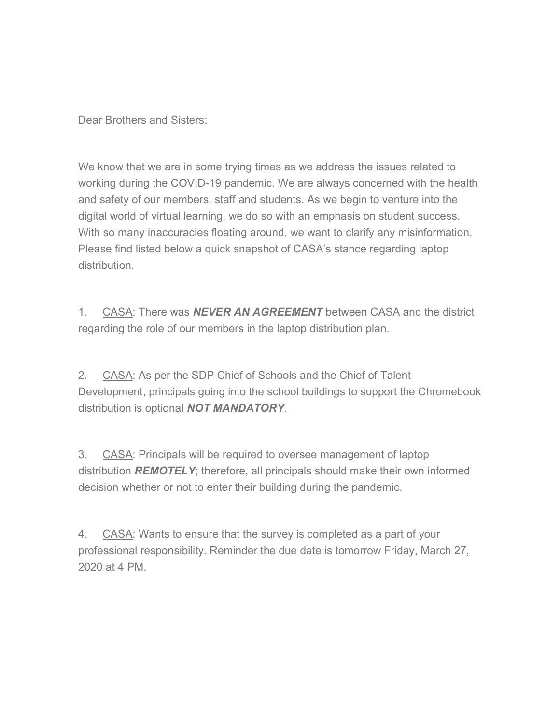Dear Brothers and Sisters:

We know that we are in some trying times as we address the issues related to working during the COVID-19 pandemic. We are always concerned with the health and safety of our members, staff and students. As we begin to venture into the digital world of virtual learning, we do so with an emphasis on student success. With so many inaccuracies floating around, we want to clarify any misinformation. Please find listed below a quick snapshot of CASA's stance regarding laptop distribution.

1. CASA: There was **NEVER AN AGREEMENT** between CASA and the district regarding the role of our members in the laptop distribution plan.

2. CASA: As per the SDP Chief of Schools and the Chief of Talent Development, principals going into the school buildings to support the Chromebook distribution is optional **NOT MANDATORY**.

3. CASA: Principals will be required to oversee management of laptop distribution **REMOTELY**; therefore, all principals should make their own informed decision whether or not to enter their building during the pandemic.

4. CASA: Wants to ensure that the survey is completed as a part of your professional responsibility. Reminder the due date is tomorrow Friday, March 27, 2020 at 4 PM.